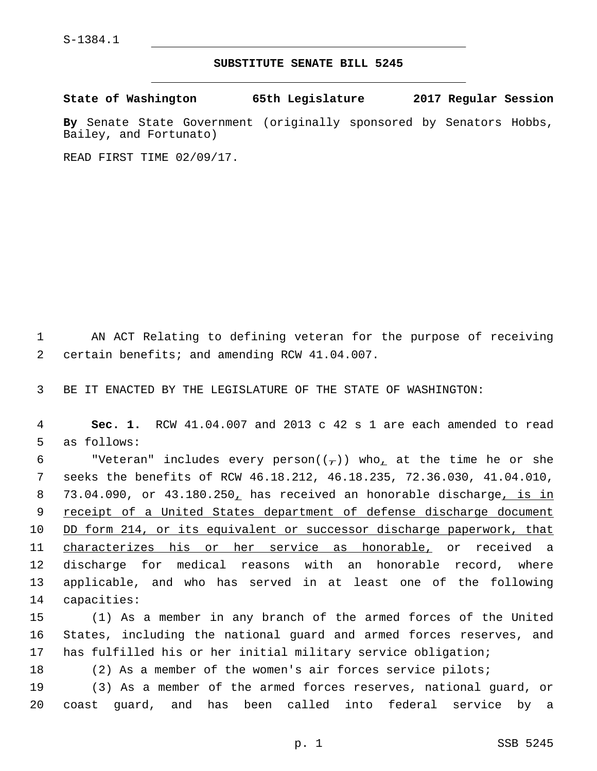## **SUBSTITUTE SENATE BILL 5245**

**State of Washington 65th Legislature 2017 Regular Session**

**By** Senate State Government (originally sponsored by Senators Hobbs, Bailey, and Fortunato)

READ FIRST TIME 02/09/17.

1 AN ACT Relating to defining veteran for the purpose of receiving 2 certain benefits; and amending RCW 41.04.007.

3 BE IT ENACTED BY THE LEGISLATURE OF THE STATE OF WASHINGTON:

4 **Sec. 1.** RCW 41.04.007 and 2013 c 42 s 1 are each amended to read 5 as follows:

6 "Veteran" includes every person $((\tau))$  who at the time he or she 7 seeks the benefits of RCW 46.18.212, 46.18.235, 72.36.030, 41.04.010, 8 73.04.090, or 43.180.250, has received an honorable discharge, is in 9 receipt of a United States department of defense discharge document 10 DD form 214, or its equivalent or successor discharge paperwork, that 11 characterizes his or her service as honorable, or received a 12 discharge for medical reasons with an honorable record, where 13 applicable, and who has served in at least one of the following 14 capacities:

15 (1) As a member in any branch of the armed forces of the United 16 States, including the national guard and armed forces reserves, and 17 has fulfilled his or her initial military service obligation;

18 (2) As a member of the women's air forces service pilots;

19 (3) As a member of the armed forces reserves, national guard, or 20 coast guard, and has been called into federal service by a